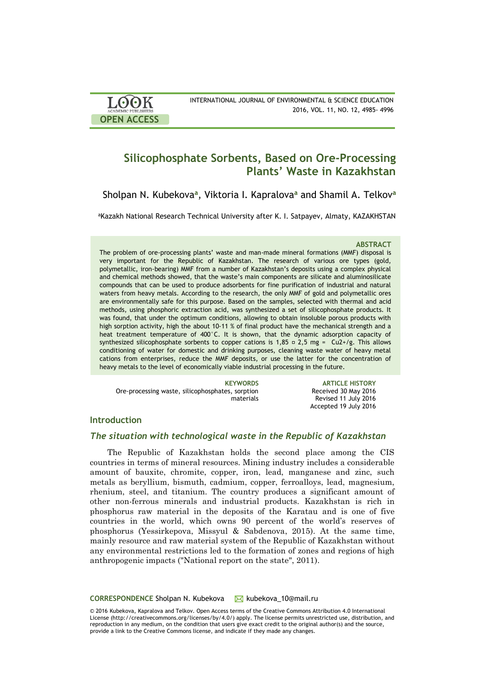

# **Silicophosphate Sorbents, Based on Ore-Processing Plants' Waste in Kazakhstan**

Sholpan N. Kubekova**<sup>a</sup>** , Viktoria I. Kapralova**<sup>a</sup>** and Shamil A. Telkov**<sup>a</sup>**

<sup>a</sup>Kazakh National Research Technical University after K. I. Satpayev, Almaty, KAZAKHSTAN

#### **ABSTRACT**

The problem of ore-processing plants' waste and man-made mineral formations (MMF) disposal is very important for the Republic of Kazakhstan. The research of various ore types (gold, polymetallic, iron-bearing) MMF from a number of Kazakhstan's deposits using a complex physical and chemical methods showed, that the waste's main components are silicate and aluminosilicate compounds that can be used to produce adsorbents for fine purification of industrial and natural waters from heavy metals. According to the research, the only MMF of gold and polymetallic ores are environmentally safe for this purpose. Based on the samples, selected with thermal and acid methods, using phosphoric extraction acid, was synthesized a set of silicophosphate products. It was found, that under the optimum conditions, allowing to obtain insoluble porous products with high sorption activity, high the about 10-11 % of final product have the mechanical strength and a heat treatment temperature of 400°C. It is shown, that the dynamic adsorption capacity of synthesized silicophosphate sorbents to copper cations is 1,85  $\textdegree$  2,5 mg = Cu2+/g. This allows conditioning of water for domestic and drinking purposes, cleaning waste water of heavy metal cations from enterprises, reduce the MMF deposits, or use the latter for the concentration of heavy metals to the level of economically viable industrial processing in the future.

Ore-processing waste, silicophosphates, sorption materials

**KEYWORDS ARTICLE HISTORY** Received 30 May 2016 Revised 11 July 2016 Accepted 19 July 2016

# **Introduction**

# *The situation with technological waste in the Republic of Kazakhstan*

The Republic of Kazakhstan holds the second place among the CIS countries in terms of mineral resources. Mining industry includes a considerable amount of bauxite, chromite, copper, iron, lead, manganese and zinc, such metals as beryllium, bismuth, cadmium, copper, ferroalloys, lead, magnesium, rhenium, steel, and titanium. The country produces a significant amount of other non-ferrous minerals and industrial products. Kazakhstan is rich in phosphorus raw material in the deposits of the Karatau and is one of five countries in the world, which owns 90 percent of the world's reserves of phosphorus (Yessirkepova, Missyul & Sabdenova, 2015). At the same time, mainly resource and raw material system of the Republic of Kazakhstan without any environmental restrictions led to the formation of zones and regions of high anthropogenic impacts ("National report on the state", 2011).

**CORRESPONDENCE** Sholpan N. Kubekova **M** kubekova\_10@mail.ru

© 2016 Kubekova, Kapralova and Telkov. Open Access terms of the Creative Commons Attribution 4.0 International License (http://creativecommons.org/licenses/by/4.0/) apply. The license permits unrestricted use, distribution, and reproduction in any medium, on the condition that users give exact credit to the original author(s) and the source, provide a link to the Creative Commons license, and indicate if they made any changes.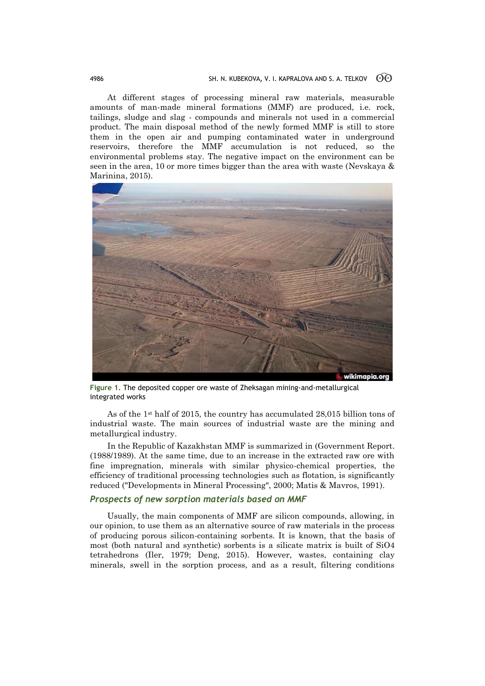At different stages of processing mineral raw materials, measurable amounts of man-made mineral formations (MMF) are produced, i.e. rock, tailings, sludge and slag - compounds and minerals not used in a commercial product. The main disposal method of the newly formed MMF is still to store them in the open air and pumping contaminated water in underground reservoirs, therefore the MMF accumulation is not reduced, so the environmental problems stay. The negative impact on the environment can be seen in the area, 10 or more times bigger than the area with waste (Nevskaya & Marinina, 2015).



**Figure 1.** The deposited copper ore waste of Zheksagan mining-and-metallurgical integrated works

As of the 1st half of 2015, the country has accumulated 28,015 billion tons of industrial waste. The main sources of industrial waste are the mining and metallurgical industry.

In the Republic of Kazakhstan MMF is summarized in (Government Report. (1988/1989). At the same time, due to an increase in the extracted raw ore with fine impregnation, minerals with similar physico-chemical properties, the efficiency of traditional processing technologies such as flotation, is significantly reduced ("Developments in Mineral Processing", 2000; Matis & Mavros, 1991).

### *Prospects of new sorption materials based on MMF*

Usually, the main components of MMF are silicon compounds, allowing, in our opinion, to use them as an alternative source of raw materials in the process of producing porous silicon-containing sorbents. It is known, that the basis of most (both natural and synthetic) sorbents is a silicate matrix is built of SiO4 tetrahedrons (Iler, 1979; Deng, 2015). However, wastes, containing clay minerals, swell in the sorption process, and as a result, filtering conditions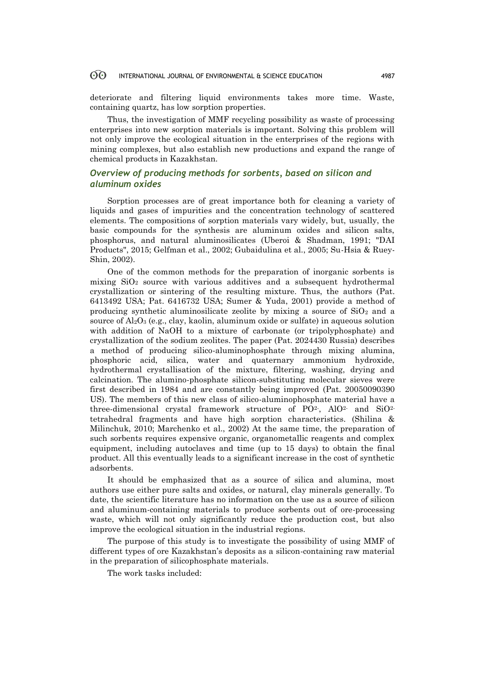#### 60 INTERNATIONAL JOURNAL OF ENVIRONMENTAL & SCIENCE EDUCATION 4987

deteriorate and filtering liquid environments takes more time. Waste, containing quartz, has low sorption properties.

Thus, the investigation of MMF recycling possibility as waste of processing enterprises into new sorption materials is important. Solving this problem will not only improve the ecological situation in the enterprises of the regions with mining complexes, but also establish new productions and expand the range of chemical products in Kazakhstan.

# *Overview of producing methods for sorbents, based on silicon and aluminum oxides*

Sorption processes are of great importance both for cleaning a variety of liquids and gases of impurities and the concentration technology of scattered elements. The compositions of sorption materials vary widely, but, usually, the basic compounds for the synthesis are aluminum oxides and silicon salts, phosphorus, and natural aluminosilicates (Uberoi & Shadman, 1991; "DAI Products", 2015; Gelfman et al., 2002; Gubaidulina et al., 2005; Su-Hsia & Ruey-Shin, 2002).

One of the common methods for the preparation of inorganic sorbents is mixing  $SiO<sub>2</sub>$  source with various additives and a subsequent hydrothermal crystallization or sintering of the resulting mixture. Thus, the authors (Pat. 6413492 USA; Pat. 6416732 USA; Sumer & Yuda, 2001) provide a method of producing synthetic aluminosilicate zeolite by mixing a source of  $SiO<sub>2</sub>$  and a source of  $Al_2O_3$  (e.g., clay, kaolin, aluminum oxide or sulfate) in aqueous solution with addition of NaOH to a mixture of carbonate (or tripolyphosphate) and crystallization of the sodium zeolites. The paper (Pat. 2024430 Russia) describes a method of producing silico-aluminophosphate through mixing alumina, phosphoric acid, silica, water and quaternary ammonium hydroxide, hydrothermal crystallisation of the mixture, filtering, washing, drying and calcination. The alumino-phosphate silicon-substituting molecular sieves were first described in 1984 and are constantly being improved (Pat. 20050090390 US). The members of this new class of silico-aluminophosphate material have a three-dimensional crystal framework structure of  $PQ^2$ , AlO<sup>2</sup> and SiO<sup>2</sup> tetrahedral fragments and have high sorption characteristics. (Shilina & Milinchuk, 2010; Marchenko et al., 2002) At the same time, the preparation of such sorbents requires expensive organic, organometallic reagents and complex equipment, including autoclaves and time (up to 15 days) to obtain the final product. All this eventually leads to a significant increase in the cost of synthetic adsorbents.

It should be emphasized that as a source of silica and alumina, most authors use either pure salts and oxides, or natural, clay minerals generally. To date, the scientific literature has no information on the use as a source of silicon and aluminum-containing materials to produce sorbents out of ore-processing waste, which will not only significantly reduce the production cost, but also improve the ecological situation in the industrial regions.

The purpose of this study is to investigate the possibility of using MMF of different types of ore Kazakhstan's deposits as a silicon-containing raw material in the preparation of silicophosphate materials.

The work tasks included: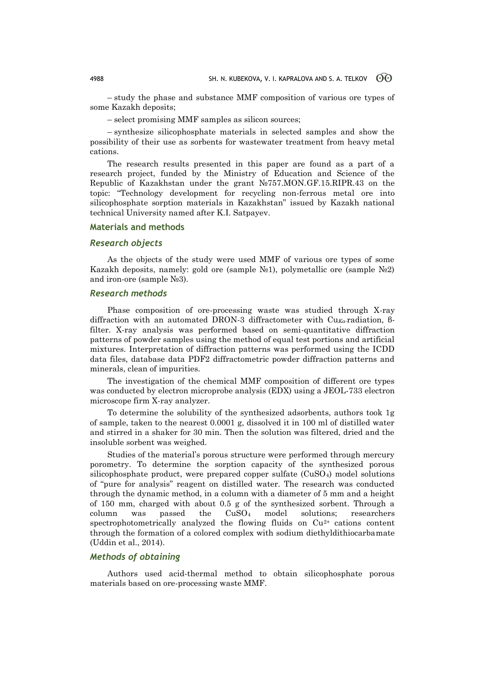– study the phase and substance MMF composition of various ore types of some Kazakh deposits;

– select promising MMF samples as silicon sources;

– synthesize silicophosphate materials in selected samples and show the possibility of their use as sorbents for wastewater treatment from heavy metal cations.

The research results presented in this paper are found as a part of a research project, funded by the Ministry of Education and Science of the Republic of Kazakhstan under the grant №757.MON.GF.15.RIPR.43 on the topic: "Technology development for recycling non-ferrous metal ore into silicophosphate sorption materials in Kazakhstan" issued by Kazakh national technical University named after K.I. Satpayev.

# **Materials and methods**

# *Research objects*

As the objects of the study were used MMF of various ore types of some Kazakh deposits, namely: gold ore (sample №1), polymetallic ore (sample №2) and iron-ore (sample №3).

### *Research methods*

Phase composition of ore-processing waste was studied through X-ray diffraction with an automated DRON-3 diffractometer with Cu*Ka-*radiation, βfilter. X-ray analysis was performed based on semi-quantitative diffraction patterns of powder samples using the method of equal test portions and artificial mixtures. Interpretation of diffraction patterns was performed using the ICDD data files, database data PDF2 diffractometric powder diffraction patterns and minerals, clean of impurities.

The investigation of the chemical MMF composition of different ore types was conducted by electron microprobe analysis (EDX) using a JEOL-733 electron microscope firm X-ray analyzer.

To determine the solubility of the synthesized adsorbents, authors took 1g of sample, taken to the nearest 0.0001 g, dissolved it in 100 ml of distilled water and stirred in a shaker for 30 min. Then the solution was filtered, dried and the insoluble sorbent was weighed.

Studies of the material's porous structure were performed through mercury porometry. To determine the sorption capacity of the synthesized porous silicophosphate product, were prepared copper sulfate (CuSO4) model solutions of "pure for analysis" reagent on distilled water. The research was conducted through the dynamic method, in a column with a diameter of 5 mm and a height of 150 mm, charged with about 0.5 g of the synthesized sorbent. Through a column was passed the CuSO<sup>4</sup> model solutions; researchers spectrophotometrically analyzed the flowing fluids on  $Cu<sup>2+</sup>$  cations content through the formation of a colored complex with sodium diethyldithiocarbamate (Uddin et al., 2014).

# *Methods of obtaining*

Authors used acid-thermal method to obtain silicophosphate porous materials based on ore-processing waste MMF.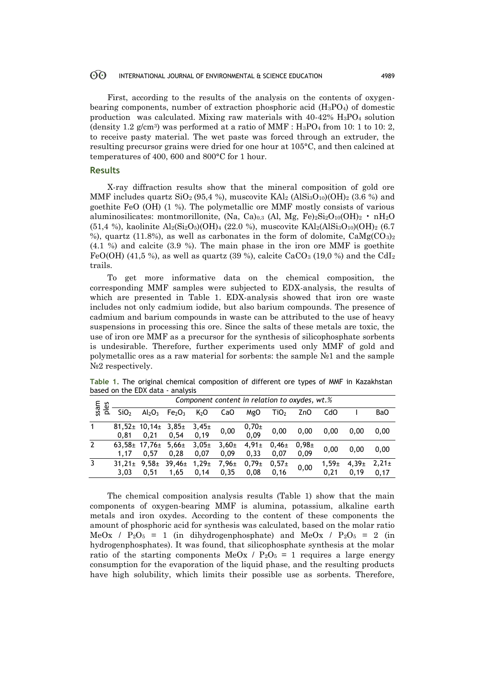#### 60 INTERNATIONAL JOURNAL OF ENVIRONMENTAL & SCIENCE EDUCATION 4989

First, according to the results of the analysis on the contents of oxygenbearing components, number of extraction phosphoric acid  $(H_3PO_4)$  of domestic production was calculated. Mixing raw materials with  $40-42\%$  H<sub>3</sub>PO<sub>4</sub> solution (density 1.2 g/cm<sup>3</sup>) was performed at a ratio of MMF :  $H_3PO_4$  from 10: 1 to 10: 2, to receive pasty material. The wet paste was forced through an extruder, the resulting precursor grains were dried for one hour at 105°C, and then calcined at temperatures of 400, 600 and 800°C for 1 hour.

### **Results**

X-ray diffraction results show that the mineral composition of gold ore MMF includes quartz  $SiO<sub>2</sub>$  (95,4 %), muscovite  $KAl<sub>2</sub>$  (Al $Si<sub>3</sub>O<sub>10</sub>$ )(OH)<sub>2</sub> (3.6 %) and goethite FeO (OH) (1 %). The polymetallic ore MMF mostly consists of various aluminosilicates: montmorillonite, (Na, Ca)<sub>0,3</sub> (Al, Mg, Fe)<sub>2</sub>Si<sub>2</sub>O<sub>10</sub>(OH)<sub>2</sub> • nH<sub>2</sub>O  $(51.4 \%)$ , kaolinite Al<sub>2</sub>(Si<sub>2</sub>O<sub>5</sub>)(OH)<sub>4</sub> (22.0 %), muscovite KAl<sub>2</sub>(AlSi<sub>3</sub>O<sub>10</sub>)(OH)<sub>2</sub> (6.7) %), quartz (11.8%), as well as carbonates in the form of dolomite,  $CaMg(CO_3)_2$ (4.1 %) and calcite (3.9 %). The main phase in the iron ore MMF is goethite FeO(OH) (41.5 %), as well as quartz (39 %), calcite CaCO<sub>3</sub> (19.0 %) and the CdI<sub>2</sub> trails.

To get more informative data on the chemical composition, the corresponding MMF samples were subjected to EDX-analysis, the results of which are presented in Table 1. EDX-analysis showed that iron ore waste includes not only cadmium iodide, but also barium compounds. The presence of cadmium and barium compounds in waste can be attributed to the use of heavy suspensions in processing this ore. Since the salts of these metals are toxic, the use of iron ore MMF as a precursor for the synthesis of silicophosphate sorbents is undesirable. Therefore, further experiments used only MMF of gold and polymetallic ores as a raw material for sorbents: the sample №1 and the sample N<sup>o</sup>2 respectively.

|              |                     | Component content in relation to oxydes, wt.% |                                |                           |                           |                           |                           |                           |                  |                           |                    |  |
|--------------|---------------------|-----------------------------------------------|--------------------------------|---------------------------|---------------------------|---------------------------|---------------------------|---------------------------|------------------|---------------------------|--------------------|--|
| ssam<br>ples | SiO <sub>2</sub>    | Al <sub>2</sub> O <sub>3</sub>                | Fe <sub>2</sub> O <sub>3</sub> | K <sub>2</sub> O          | CaO                       | MgO                       | TiO <sub>2</sub>          | ZnO                       | CdO              |                           | BaO                |  |
| 1            | 0.81                | $81,52 \pm 10,14 \pm 1$<br>0.21               | $3,85 \pm$<br>0.54             | $3,45 \pm$<br>0.19        | 0,00                      | $0,70\pm$<br>0,09         | 0,00                      | 0,00                      | 0.00             | 0.00                      | 0.00               |  |
| 2            | 1.17                | $63,58 \pm 17,76 \pm 1$<br>0.57               | $5,66 \pm$<br>0.28             | $3,05\pm$<br>0.07         | 3,60 <sub>±</sub><br>0.09 | 4,91 <sub>±</sub><br>0.33 | $0,46 \pm$<br>0.07        | 0.98 <sub>±</sub><br>0,09 | 0.00             | 0.00                      | 0.00               |  |
| 3            | $31.21 \pm$<br>3,03 | 9,58 <sub>±</sub><br>0,51                     | $39,46 \pm$<br>1,65            | 1,29 <sub>±</sub><br>0,14 | $7,96 \pm$<br>0,35        | $0.79 \pm$<br>0.08        | 0,57 <sub>±</sub><br>0,16 | 0,00                      | $1.59 +$<br>0.21 | 4,39 <sub>±</sub><br>0,19 | $2,21 \pm$<br>0,17 |  |
|              |                     |                                               |                                |                           |                           |                           |                           |                           |                  |                           |                    |  |

**Table 1.** The original chemical composition of different ore types of MMF in Kazakhstan based on the EDX data - analysis

The chemical composition analysis results (Table 1) show that the main components of oxygen-bearing MMF is alumina, potassium, alkaline earth metals and iron oxydes. According to the content of these components the amount of phosphoric acid for synthesis was calculated, based on the molar ratio MeOx /  $P_2O_5 = 1$  (in dihydrogenphosphate) and MeOx /  $P_2O_5 = 2$  (in hydrogenphosphates). It was found, that silicophosphate synthesis at the molar ratio of the starting components MeOx /  $P_2O_5 = 1$  requires a large energy consumption for the evaporation of the liquid phase, and the resulting products have high solubility, which limits their possible use as sorbents. Therefore,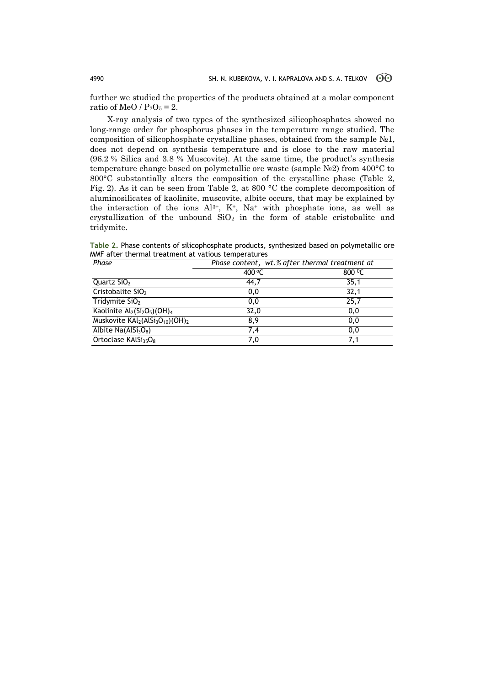further we studied the properties of the products obtained at a molar component ratio of MeO /  $P_2O_5 = 2$ .

X-ray analysis of two types of the synthesized silicophosphates showed no long-range order for phosphorus phases in the temperature range studied. The composition of silicophosphate crystalline phases, obtained from the sample  $N_2$ 1, does not depend on synthesis temperature and is close to the raw material (96.2 % Silica and 3.8 % Muscovite). At the same time, the product's synthesis temperature change based on polymetallic ore waste (sample  $N_2$ ) from 400°C to 800°C substantially alters the composition of the crystalline phase (Table 2, Fig. 2). As it can be seen from Table 2, at 800 °C the complete decomposition of aluminosilicates of kaolinite, muscovite, albite occurs, that may be explained by the interaction of the ions  $Al^{3+}$ ,  $K^+$ ,  $Na^+$  with phosphate ions, as well as crystallization of the unbound  $SiO<sub>2</sub>$  in the form of stable cristobalite and tridymite.

**Table 2.** Phase contents of silicophosphate products, synthesized based on polymetallic ore MMF after thermal treatment at vatious temperatures

| Phase                                                               | Phase content, wt.% after thermal treatment at |        |  |  |  |  |
|---------------------------------------------------------------------|------------------------------------------------|--------|--|--|--|--|
|                                                                     | 400 °C                                         | 800 °C |  |  |  |  |
| Quartz $SiO2$                                                       | 44,7                                           | 35,1   |  |  |  |  |
| Cristobalite SiO <sub>2</sub>                                       | 0,0                                            | 32,1   |  |  |  |  |
| Tridymite $SiO2$                                                    | 0,0                                            | 25,7   |  |  |  |  |
| Kaolinite Al2(Si <sub>2</sub> O <sub>5</sub> )(OH) <sub>4</sub>     | 32,0                                           | 0,0    |  |  |  |  |
| Muskovite KAl2(AlSi <sub>3</sub> O <sub>10</sub> )(OH) <sub>2</sub> | 8,9                                            | 0,0    |  |  |  |  |
| Albite $Na(AlSi3O8)$                                                | 7,4                                            | 0,0    |  |  |  |  |
| Ortoclase KAlSi <sub>35</sub> O <sub>8</sub>                        | 7,0                                            | 7.1    |  |  |  |  |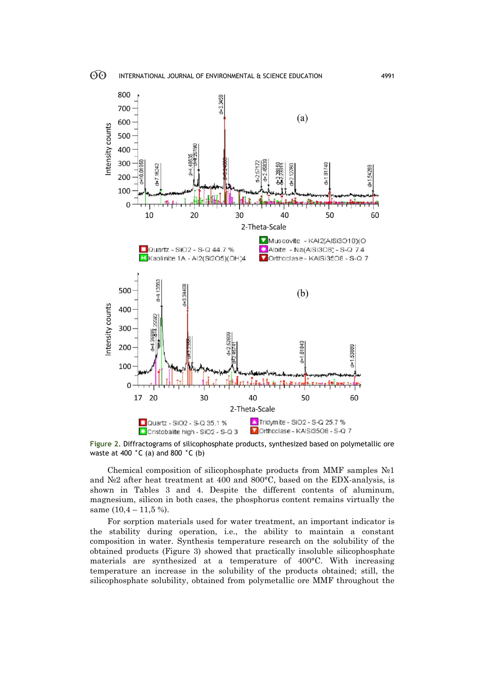

**Figure 2.** Diffractograms of silicophosphate products, synthesized based on polymetallic ore waste at 400 **°**C (a) and 800 **°**C (b)

Chemical composition of silicophosphate products from MMF samples  $\mathbb{N}^1$ and №2 after heat treatment at 400 and 800°C, based on the EDX-analysis, is shown in Tables 3 and 4. Despite the different contents of aluminum, magnesium, silicon in both cases, the phosphorus content remains virtually the same  $(10,4 - 11,5\%)$ .

For sorption materials used for water treatment, an important indicator is the stability during operation, i.e., the ability to maintain a constant composition in water. Synthesis temperature research on the solubility of the obtained products (Figure 3) showed that practically insoluble silicophosphate materials are synthesized at a temperature of 400°C. With increasing temperature an increase in the solubility of the products obtained; still, the silicophosphate solubility, obtained from polymetallic ore MMF throughout the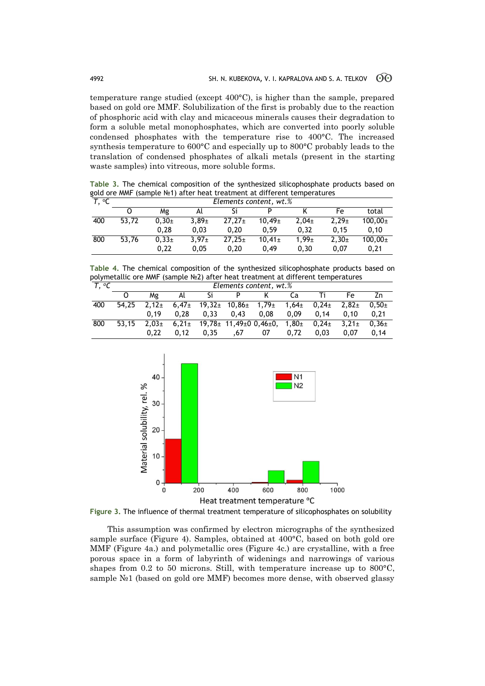temperature range studied (except 400°C), is higher than the sample, prepared based on gold ore MMF. Solubilization of the first is probably due to the reaction of phosphoric acid with clay and micaceous minerals causes their degradation to form a soluble metal monophosphates, which are converted into poorly soluble condensed phosphates with the temperature rise to 400°C. The increased synthesis temperature to 600°C and especially up to 800°C probably leads to the translation of condensed phosphates of alkali metals (present in the starting waste samples) into vitreous, more soluble forms.

**Table 3.** The chemical composition of the synthesized silicophosphate products based on gold ore MMF (sample №1) after heat treatment at different temperatures

| T. °C | Elements content, wt.% |          |            |             |                    |            |            |                |  |  |
|-------|------------------------|----------|------------|-------------|--------------------|------------|------------|----------------|--|--|
|       |                        | Mg       | Al         | Si          | D                  |            | Fe         | total          |  |  |
| 400   | 53.72                  | $0.30+$  | $3.89 \pm$ | $27.27 \pm$ | 10.49 <sub>±</sub> | $2.04 \pm$ | $2.29 \pm$ | $100.00 \pm$   |  |  |
|       |                        | 0.28     | 0.03       | 0.20        | 0.59               | 0.32       | 0.15       | 0.10           |  |  |
| 800   | 53.76                  | $0.33 +$ | $3.97 \pm$ | $27.25 \pm$ | $10.41 \pm$        | $1.99 \pm$ | $2.30+$    | $100,00_{\pm}$ |  |  |
|       |                        | 0.22     | 0.05       | 0.20        | 0.49               | 0.30       | 0.07       | 0.21           |  |  |

**Table 4.** The chemical composition of the synthesized silicophosphate products based on polymetallic ore MMF (sample №2) after heat treatment at different temperatures *Т, <sup>о</sup>С Elements content, wt.%*

| ں۔ ا | LIEIIIEIILS CONCENT. WL./0 |            |      |      |                                                                    |      |      |      |                       |         |
|------|----------------------------|------------|------|------|--------------------------------------------------------------------|------|------|------|-----------------------|---------|
|      |                            | Mg         | Al   | Si   |                                                                    | K    | Ca   | Ti   | Fe                    | Zn      |
| 400  | 54.25                      | $2.12 \pm$ |      |      | $6,47\pm$ 19,32 $\pm$ 10,86 $\pm$ 1,79 $\pm$ 1,64 $\pm$ 0,24 $\pm$ |      |      |      | $2.82 +$              | $0.50+$ |
|      |                            | 0.19       | 0.28 |      | $0.33$ 0.43                                                        | 0.08 | 0.09 | 0.14 | 0.10                  | 0.21    |
| 800  | 53.15                      | $2.03\pm$  |      |      | $6,21 \pm 19,78 \pm 11,49 \pm 0,0,46 \pm 0,1,80 \pm 0,24 \pm 1$    |      |      |      | $3.21 \pm 0.36 \pm 1$ |         |
|      |                            | 0.22       | 0.12 | 0.35 | ,6/                                                                | 07   | 0.72 | 0.03 | 0.07                  | 0.14    |



**Figure 3.** The influence of thermal treatment temperature of silicophosphates on solubility

This assumption was confirmed by electron micrographs of the synthesized sample surface (Figure 4). Samples, obtained at 400°C, based on both gold ore MMF (Figure 4a.) and polymetallic ores (Figure 4c.) are crystalline, with a free porous space in a form of labyrinth of widenings and narrowings of various shapes from 0.2 to 50 microns. Still, with temperature increase up to 800°C, sample N<sup>o</sup>1 (based on gold ore MMF) becomes more dense, with observed glassy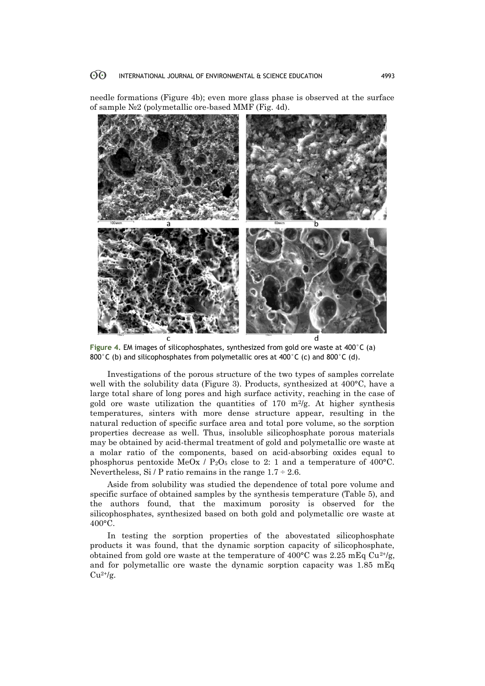needle formations (Figure 4b); even more glass phase is observed at the surface of sample №2 (polymetallic ore-based MMF (Fig. 4d).



**Figure 4.** EM images of silicophosphates, synthesized from gold ore waste at 400°C (a) 800°C (b) and silicophosphates from polymetallic ores at 400°C (c) and 800°C (d).

Investigations of the porous structure of the two types of samples correlate well with the solubility data (Figure 3). Products, synthesized at 400°C, have a large total share of long pores and high surface activity, reaching in the case of gold ore waste utilization the quantities of 170  $m^2/g$ . At higher synthesis temperatures, sinters with more dense structure appear, resulting in the natural reduction of specific surface area and total pore volume, so the sorption properties decrease as well. Thus, insoluble silicophosphate porous materials may be obtained by acid-thermal treatment of gold and polymetallic ore waste at a molar ratio of the components, based on acid-absorbing oxides equal to phosphorus pentoxide MeOx /  $P_2O_5$  close to 2: 1 and a temperature of 400°C. Nevertheless, Si / P ratio remains in the range  $1.7 \div 2.6$ .

Aside from solubility was studied the dependence of total pore volume and specific surface of obtained samples by the synthesis temperature (Table 5), and the authors found, that the maximum porosity is observed for the silicophosphates, synthesized based on both gold and polymetallic ore waste at 400°C.

In testing the sorption properties of the abovestated silicophosphate products it was found, that the dynamic sorption capacity of silicophosphate, obtained from gold ore waste at the temperature of 400 $^{\circ}$ C was 2.25 mEq Cu<sup>2+/g</sup>, and for polymetallic ore waste the dynamic sorption capacity was 1.85 mEq  $Cu^{2+}/g$ .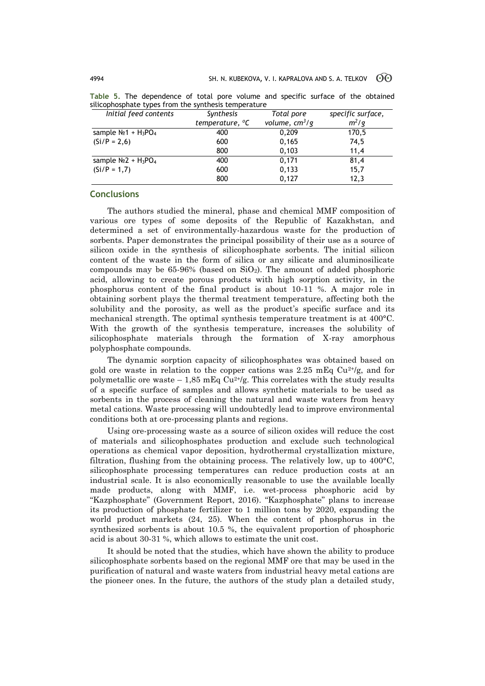| . .                                             |                             |                  |                   |  |  |
|-------------------------------------------------|-----------------------------|------------------|-------------------|--|--|
| Initial feed contents                           | Synthesis                   | Total pore       | specific surface, |  |  |
|                                                 | temperature, <sup>o</sup> C | volume, $cm^3/g$ | $m^2/q$           |  |  |
| sample $N_2$ 1 + H <sub>3</sub> PO <sub>4</sub> | 400                         | 0,209            | 170,5             |  |  |
| $(Si/P = 2,6)$                                  | 600                         | 0,165            | 74,5              |  |  |
|                                                 | 800                         | 0,103            | 11,4              |  |  |
| sample $N_2$ + $H_3$ PO <sub>4</sub>            | 400                         | 0,171            | 81,4              |  |  |
| $(Si/P = 1,7)$                                  | 600                         | 0,133            | 15,7              |  |  |
|                                                 | 800                         | 0,127            | 12,3              |  |  |
|                                                 |                             |                  |                   |  |  |

**Table 5.** The dependence of total pore volume and specific surface of the obtained silicophosphate types from the synthesis temperature

#### **Conclusions**

The authors studied the mineral, phase and chemical MMF composition of various ore types of some deposits of the Republic of Kazakhstan, and determined a set of environmentally-hazardous waste for the production of sorbents. Paper demonstrates the principal possibility of their use as a source of silicon oxide in the synthesis of silicophosphate sorbents. The initial silicon content of the waste in the form of silica or any silicate and aluminosilicate compounds may be  $65-96%$  (based on  $SiO<sub>2</sub>$ ). The amount of added phosphoric acid, allowing to create porous products with high sorption activity, in the phosphorus content of the final product is about 10-11 %. A major role in obtaining sorbent plays the thermal treatment temperature, affecting both the solubility and the porosity, as well as the product's specific surface and its mechanical strength. The optimal synthesis temperature treatment is at 400°C. With the growth of the synthesis temperature, increases the solubility of silicophosphate materials through the formation of X-ray amorphous polyphosphate compounds.

The dynamic sorption capacity of silicophosphates was obtained based on gold ore waste in relation to the copper cations was 2.25 mEq  $Cu^{2+}/g$ , and for polymetallic ore waste – 1.85 mEq  $Cu^{2+\prime}$ g. This correlates with the study results of a specific surface of samples and allows synthetic materials to be used as sorbents in the process of cleaning the natural and waste waters from heavy metal cations. Waste processing will undoubtedly lead to improve environmental conditions both at ore-processing plants and regions.

Using ore-processing waste as a source of silicon oxides will reduce the cost of materials and silicophosphates production and exclude such technological operations as chemical vapor deposition, hydrothermal crystallization mixture, filtration, flushing from the obtaining process. The relatively low, up to 400°C, silicophosphate processing temperatures can reduce production costs at an industrial scale. It is also economically reasonable to use the available locally made products, along with MMF, i.e. wet-process phosphoric acid by "Kazphosphate" (Government Report, 2016). "Kazphosphate" plans to increase its production of phosphate fertilizer to 1 million tons by 2020, expanding the world product markets (24, 25). When the content of phosphorus in the synthesized sorbents is about 10.5 %, the equivalent proportion of phosphoric acid is about 30-31 %, which allows to estimate the unit cost.

It should be noted that the studies, which have shown the ability to produce silicophosphate sorbents based on the regional MMF ore that may be used in the purification of natural and waste waters from industrial heavy metal cations are the pioneer ones. In the future, the authors of the study plan a detailed study,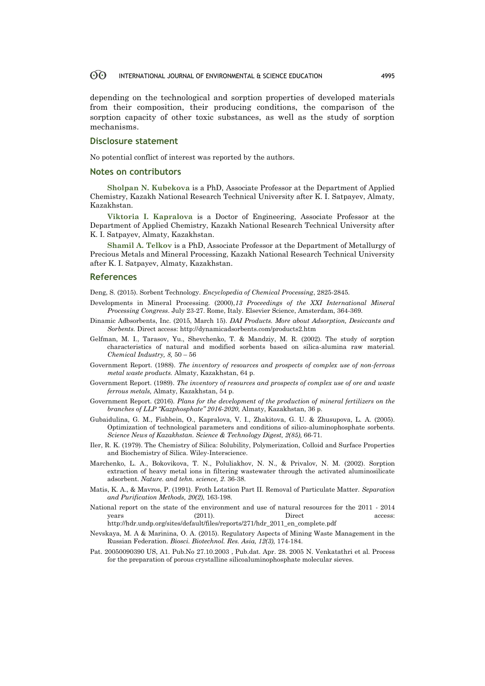#### 60 INTERNATIONAL JOURNAL OF ENVIRONMENTAL & SCIENCE EDUCATION 4995

depending on the technological and sorption properties of developed materials from their composition, their producing conditions, the comparison of the sorption capacity of other toxic substances, as well as the study of sorption mechanisms.

#### **Disclosure statement**

No potential conflict of interest was reported by the authors.

#### **Notes on contributors**

**Sholpan N. Kubekova** is a PhD, Associate Professor at the Department of Applied Chemistry, Kazakh National Research Technical University after K. I. Satpayev, Almaty, Kazakhstan.

**Viktoria I. Kapralova** is a Doctor of Engineering, Associate Professor at the Department of Applied Chemistry, Kazakh National Research Technical University after K. I. Satpayev, Almaty, Kazakhstan.

**Shamil A. Telkov** is a PhD, Associate Professor at the Department of Metallurgy of Precious Metals and Mineral Processing, Kazakh National Research Technical University after K. I. Satpayev, Almaty, Kazakhstan.

#### **References**

Deng, S. (2015). Sorbent Technology. *Encyclopedia of Chemical Processing*, 2825-2845.

- Developments in Mineral Processing. (2000),*13 Proceedings of the XXI International Mineral Processing Congress*. July 23-27. Rome, Italy. Elsevier Science, Amsterdam, 364-369.
- Dinamic Adbsorbents, Inc. (2015, March 15). *DAI Products. More about Adsorption, Desiccants and Sorbents.* Direct access: http://dynamicadsorbents.com/products2.htm
- Gelfman, M. I., Tarasov, Yu., Shevchenko, T. & Mandziy, M. R. (2002). The study of sorption characteristics of natural and modified sorbents based on silica-alumina raw material. *Chemical Industry, 8,* 50 – 56
- Government Report. (1988). *The inventory of resources and prospects of complex use of non-ferrous metal waste products.* Almaty, Kazakhstan, 64 p.
- Government Report. (1989). *The inventory of resources and prospects of complex use of ore and waste ferrous metals,* Almaty, Kazakhstan, 54 p.
- Government Report. (2016). *Plans for the development of the production of mineral fertilizers on the branches of LLP "Kazphosphate" 2016-2020,* Almaty, Kazakhstan, 36 p.
- Gubaidulina, G. M., Fishbein, O., Kapralova, V. I., Zhakitova, G. U. & Zhusupova, L. A. (2005). Optimization of technological parameters and conditions of silico-aluminophosphate sorbents. *Science News of Kazakhstan. Science & Technology Digest, 2(85),* 66-71.
- Iler, R. K. (1979). The Chemistry of Silica: Solubility, Polymerization, Colloid and Surface Properties and Biochemistry of Silica. Wiley-Interscience.
- Marchenko, L. A., Bokovikova, T. N., Poluliakhov, N. N., & Privalov, N. M. (2002). Sorption extraction of heavy metal ions in filtering wastewater through the activated aluminosilicate adsorbent. *Nature. and tehn. science, 2*. 36-38.
- Matis, K. A., & Mavros, P. (1991). Froth Lotation Part II. Removal of Particulate Matter. *Separation and Purification Methods, 20(2),* 163-198.
- National report on the state of the environment and use of natural resources for the 2011 2014 years (2011). Direct access: http://hdr.undp.org/sites/default/files/reports/271/hdr\_2011\_en\_complete.pdf
- Nevskaya, M. A & Marinina, O. A. (2015). Regulatory Aspects of Mining Waste Management in the Russian Federation. *Biosci. Biotechnol. Res. Asia, 12(3),* 174-184.
- Pat. 20050090390 US, A1. Pub.No 27.10.2003 , Pub.dat. Apr. 28. 2005 [N. Venkatathri](http://www.google.ch/search?tbo=p&tbm=pts&hl=en&q=ininventor:%22Narayanan+Venkatathri%22) et al. Process for the preparation of porous crystalline silicoaluminophosphate molecular sieves.